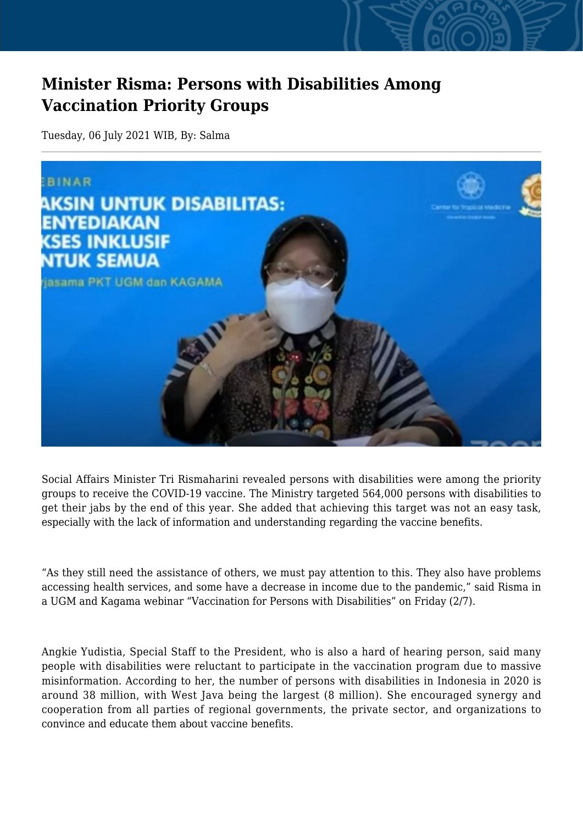## **Minister Risma: Persons with Disabilities Among Vaccination Priority Groups**

Tuesday, 06 July 2021 WIB, By: Salma



Social Affairs Minister Tri Rismaharini revealed persons with disabilities were among the priority groups to receive the COVID-19 vaccine. The Ministry targeted 564,000 persons with disabilities to get their jabs by the end of this year. She added that achieving this target was not an easy task, especially with the lack of information and understanding regarding the vaccine benefits.

"As they still need the assistance of others, we must pay attention to this. They also have problems accessing health services, and some have a decrease in income due to the pandemic," said Risma in a UGM and Kagama webinar "Vaccination for Persons with Disabilities" on Friday (2/7).

Angkie Yudistia, Special Staff to the President, who is also a hard of hearing person, said many people with disabilities were reluctant to participate in the vaccination program due to massive misinformation. According to her, the number of persons with disabilities in Indonesia in 2020 is around 38 million, with West Java being the largest (8 million). She encouraged synergy and cooperation from all parties of regional governments, the private sector, and organizations to convince and educate them about vaccine benefits.